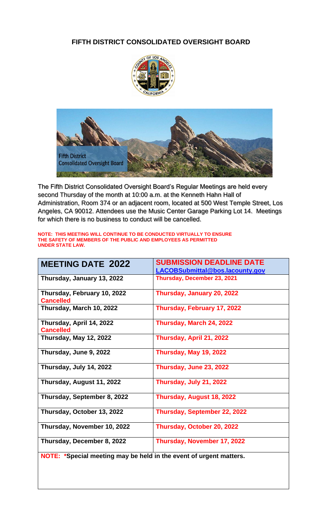### **FIFTH DISTRICT CONSOLIDATED OVERSIGHT BOARD**





The Fifth District Consolidated Oversight Board's Regular Meetings are held every second Thursday of the month at 10:00 a.m. at the Kenneth Hahn Hall of Administration, Room 374 or an adjacent room, located at 500 West Temple Street, Los Angeles, CA 90012. Attendees use the Music Center Garage Parking Lot 14. Meetings for which there is no business to conduct will be cancelled.

**NOTE: THIS MEETING WILL CONTINUE TO BE CONDUCTED VIRTUALLY TO ENSURE THE SAFETY OF MEMBERS OF THE PUBLIC AND EMPLOYEES AS PERMITTED UNDER STATE LAW.**

| <b>MEETING DATE 2022</b>                        | <b>SUBMISSION DEADLINE DATE</b><br>LACOBSubmittal@bos.lacounty.gov |
|-------------------------------------------------|--------------------------------------------------------------------|
| Thursday, January 13, 2022                      | Thursday, December 23, 2021                                        |
| Thursday, February 10, 2022<br><b>Cancelled</b> | Thursday, January 20, 2022                                         |
| Thursday, March 10, 2022                        | Thursday, February 17, 2022                                        |
| Thursday, April 14, 2022<br><b>Cancelled</b>    | Thursday, March 24, 2022                                           |
| Thursday, May 12, 2022                          | Thursday, April 21, 2022                                           |
| Thursday, June 9, 2022                          | Thursday, May 19, 2022                                             |
| Thursday, July 14, 2022                         | Thursday, June 23, 2022                                            |
| Thursday, August 11, 2022                       | Thursday, July 21, 2022                                            |
| Thursday, September 8, 2022                     | Thursday, August 18, 2022                                          |
| Thursday, October 13, 2022                      | Thursday, September 22, 2022                                       |
| Thursday, November 10, 2022                     | Thursday, October 20, 2022                                         |
| Thursday, December 8, 2022                      | Thursday, November 17, 2022                                        |

**NOTE: \*Special meeting may be held in the event of urgent matters.**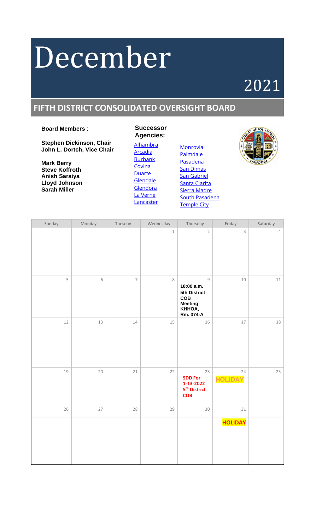# December

## 2021

### **FIFTH DISTRICT CONSOLIDATED OVERSIGHT BOARD**

### **Board Members** :

**Stephen Dickinson, Chair John L. Dortch, Vice Chair**

**Mark Berry Steve Koffroth Anish Saraiya Lloyd Johnson Sarah Miller**

 **Agencies:** [Alhambra](https://www.cityofalhambra.org/) [Arcadia](https://www.arcadiaca.gov/government/city-departments/development-services/successor-agency-to-the-arcadia-redevelopment-agency) [Burbank](http://www.burbankca.gov/departments/community-development/housing-economic-development/successor-agency/successor-agency-oversight-board-agendas) [Covina](https://covinaca.gov/) [Duarte](http://www.accessduarte.com/about/default.htm) [Glendale](https://www.glendaleca.gov/government/departments/city-clerk/boards-and-commissions-/oversight-board-for-the-glendale-successor-agency) **[Glendora](http://www.cityofglendora.org/departments-services/boards-commissions-and-committees/oversight-board-to-the-glendora-successor-agency)**  [La Verne](http://www.ci.la-verne.ca.us/index.php/39-city-hall/41-la-verne-successor-agency-oversight-board) **[Lancaster](http://www.cityoflancasterca.org/about-us/city-government/redevelopment-agency)** 

 **Successor**



| Sunday | Monday | Tuesday        | Wednesday | Thursday                                                                                   | Friday               | Saturday   |
|--------|--------|----------------|-----------|--------------------------------------------------------------------------------------------|----------------------|------------|
|        |        |                | $\,1$     | $\overline{2}$                                                                             | $\mathsf 3$          | $\sqrt{4}$ |
| 5      | 6      | $\overline{7}$ | 8         | $\mathcal G$<br>10:00 a.m.<br>5th District<br>COB<br><b>Meeting</b><br>KHHOA,<br>Rm. 374-A | 10                   | $11\,$     |
| 12     | 13     | $14\,$         | 15        | 16                                                                                         | 17                   | 18         |
| 19     | 20     | 21             | 22        | 23<br><b>SDD For</b><br>1-13-2022<br>5 <sup>th</sup> District<br><b>COB</b>                | 24<br><b>HOLIDAY</b> | 25         |
| 26     | 27     | 28             | 29        | 30                                                                                         | 31                   |            |
|        |        |                |           |                                                                                            | <b>HOLIDAY</b>       |            |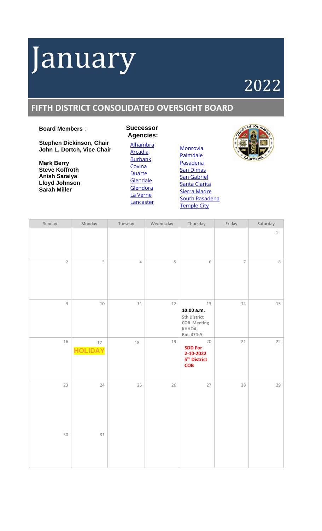# January

## 2022

### **FIFTH DISTRICT CONSOLIDATED OVERSIGHT BOARD**

### **Board Members** :

**Stephen Dickinson, Chair John L. Dortch, Vice Chair**

**Mark Berry Steve Koffroth Anish Saraiya Lloyd Johnson Sarah Miller**

**Agencies:** [Alhambra](https://www.cityofalhambra.org/) [Arcadia](https://www.arcadiaca.gov/government/city-departments/development-services/successor-agency-to-the-arcadia-redevelopment-agency) [Burbank](http://www.burbankca.gov/departments/community-development/housing-economic-development/successor-agency/successor-agency-oversight-board-agendas) [Covina](https://covinaca.gov/) [Duarte](http://www.accessduarte.com/about/default.htm) **[Glendale](https://www.glendaleca.gov/government/departments/city-clerk/boards-and-commissions-/oversight-board-for-the-glendale-successor-agency) [Glendora](http://www.cityofglendora.org/departments-services/boards-commissions-and-committees/oversight-board-to-the-glendora-successor-agency)** [La Verne](http://www.ci.la-verne.ca.us/index.php/39-city-hall/41-la-verne-successor-agency-oversight-board) **[Lancaster](http://www.cityoflancasterca.org/about-us/city-government/redevelopment-agency)** 

**Successor**



| Sunday       | Monday                   | Tuesday    | Wednesday | Thursday                                                                    | Friday                   | Saturday |
|--------------|--------------------------|------------|-----------|-----------------------------------------------------------------------------|--------------------------|----------|
|              |                          |            |           |                                                                             |                          | $\,1\,$  |
| $\sqrt{2}$   | $\mathsf{3}$             | $\sqrt{4}$ | 5         | 6                                                                           | $\overline{\phantom{a}}$ | $\,8\,$  |
| $\mathcal G$ | $10\,$                   | $11\,$     | 12        | 13<br>10:00 a.m.<br>5th District<br>COB Meeting<br>KHHOA,<br>Rm. 374-A      | $14\,$                   | 15       |
| 16           | $17\,$<br><b>HOLIDAY</b> | 18         | 19        | 20<br><b>SDD For</b><br>2-10-2022<br>5 <sup>th</sup> District<br><b>COB</b> | $21\,$                   | 22       |
| 23           | 24                       | $25\,$     | $26\,$    | 27                                                                          | 28                       | 29       |
| 30           | $31\,$                   |            |           |                                                                             |                          |          |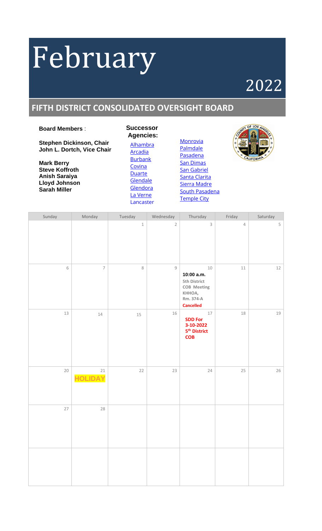# February

## 2022

### **FIFTH DISTRICT CONSOLIDATED OVERSIGHT BOARD**

### **Board Members** :

**Stephen Dickinson, Chair John L. Dortch, Vice Chair**

**Mark Berry Steve Koffroth Anish Saraiya Lloyd Johnson Sarah Miller**

**Successor Agencies:** [Alhambra](https://www.cityofalhambra.org/) [Arcadia](https://www.arcadiaca.gov/government/city-departments/development-services/successor-agency-to-the-arcadia-redevelopment-agency) **[Burbank](http://www.burbankca.gov/departments/community-development/housing-economic-development/successor-agency/successor-agency-oversight-board-agendas)** [Covina](https://covinaca.gov/) [Duarte](http://www.accessduarte.com/about/default.htm) **[Glendale](https://www.glendaleca.gov/government/departments/city-clerk/boards-and-commissions-/oversight-board-for-the-glendale-successor-agency) [Glendora](http://www.cityofglendora.org/departments-services/boards-commissions-and-committees/oversight-board-to-the-glendora-successor-agency)** [La Verne](http://www.ci.la-verne.ca.us/index.php/39-city-hall/41-la-verne-successor-agency-oversight-board) [Lancaster](http://www.cityoflancasterca.org/about-us/city-government/redevelopment-agency)



| Sunday         | Monday                   | Tuesday | Wednesday      | Thursday                                                                                       | Friday     | Saturday |
|----------------|--------------------------|---------|----------------|------------------------------------------------------------------------------------------------|------------|----------|
|                |                          | $\,1\,$ | $\overline{2}$ | $\mathsf{3}$                                                                                   | $\sqrt{4}$ | 5        |
| $\,$ $\,$ $\,$ | $\overline{\mathcal{I}}$ | 8       | 9              | $10\,$<br>10:00 a.m.<br>5th District<br>COB Meeting<br>KHHOA,<br>Rm. 374-A<br><b>Cancelled</b> | $11\,$     | $12\,$   |
| 13             | $14\,$                   | 15      | 16             | $17\,$<br><b>SDD For</b><br>3-10-2022<br>5 <sup>th</sup> District<br><b>COB</b>                | $18\,$     | 19       |
| $20\,$         | $21\,$<br><b>HOLIDAY</b> | $22$    | 23             | $24\,$                                                                                         | 25         | $26\,$   |
| 27             | 28                       |         |                |                                                                                                |            |          |
|                |                          |         |                |                                                                                                |            |          |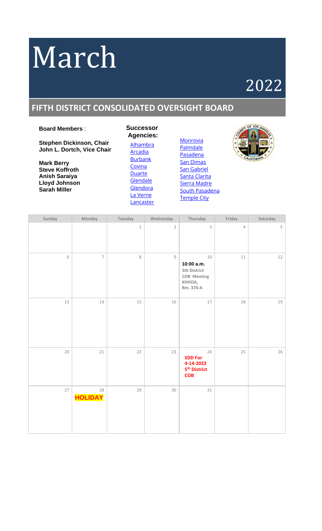# March

## 2022

### **FIFTH DISTRICT CONSOLIDATED OVERSIGHT BOARD**

### **Board Members** :

**Stephen Dickinson, Chair John L. Dortch, Vice Chair**

**Mark Berry Steve Koffroth Anish Saraiya Lloyd Johnson Sarah Miller**

**Successor Agencies:** [Alhambra](https://www.cityofalhambra.org/) [Arcadia](https://www.arcadiaca.gov/government/city-departments/development-services/successor-agency-to-the-arcadia-redevelopment-agency) **[Burbank](http://www.burbankca.gov/departments/community-development/housing-economic-development/successor-agency/successor-agency-oversight-board-agendas)** [Covina](https://covinaca.gov/) [Duarte](http://www.accessduarte.com/about/default.htm) **[Glendale](https://www.glendaleca.gov/government/departments/city-clerk/boards-and-commissions-/oversight-board-for-the-glendale-successor-agency) [Glendora](http://www.cityofglendora.org/departments-services/boards-commissions-and-committees/oversight-board-to-the-glendora-successor-agency)** [La Verne](http://www.ci.la-verne.ca.us/index.php/39-city-hall/41-la-verne-successor-agency-oversight-board) **[Lancaster](http://www.cityoflancasterca.org/about-us/city-government/redevelopment-agency)** 



| Sunday | Monday               | Tuesday     | Wednesday      | Thursday                                                                      | Friday         | Saturday |
|--------|----------------------|-------------|----------------|-------------------------------------------------------------------------------|----------------|----------|
|        |                      | $\mathbf 1$ | $\overline{2}$ | 3                                                                             | $\overline{4}$ | 5        |
| 6      | $\overline{7}$       | $\,8\,$     | $\mathsf g$    | 10<br>10:00 a.m.<br>5th District<br><b>COB</b> Meeting<br>KHHOA,<br>Rm. 374-A | $11\,$         | 12       |
| 13     | $14\,$               | $15\,$      | $16\,$         | $17\,$                                                                        | $18\,$         | 19       |
| $20\,$ | $21\,$               | 22          | 23             | 24<br><b>SDD For</b><br>4-14-2022<br>5 <sup>th</sup> District<br><b>COB</b>   | 25             | 26       |
| 27     | 28<br><b>HOLIDAY</b> | 29          | $30\,$         | 31                                                                            |                |          |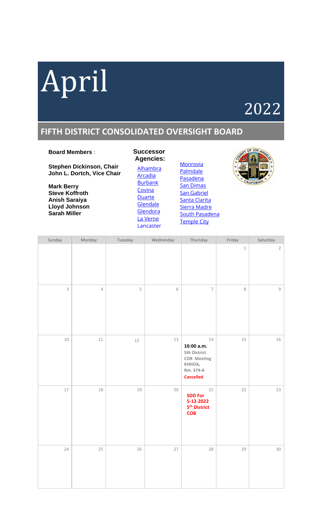

### 2022

### **FIFTH DISTRICT CONSOLIDATED OVERSIGHT BOARD**

### **Board Members** :

**Stephen Dickinson, Chair John L. Dortch, Vice Chair**

**Mark Berry Steve Koffroth Anish Saraiya Lloyd Johnson Sarah Miller**

**Successor Agencies:** [Alhambra](https://www.cityofalhambra.org/) [Arcadia](https://www.arcadiaca.gov/government/city-departments/development-services/successor-agency-to-the-arcadia-redevelopment-agency) [Burbank](http://www.burbankca.gov/departments/community-development/housing-economic-development/successor-agency/successor-agency-oversight-board-agendas) **[Covina](https://covinaca.gov/) [Duarte](http://www.accessduarte.com/about/default.htm) [Glendale](https://www.glendaleca.gov/government/departments/city-clerk/boards-and-commissions-/oversight-board-for-the-glendale-successor-agency) [Glendora](http://www.cityofglendora.org/departments-services/boards-commissions-and-committees/oversight-board-to-the-glendora-successor-agency)** [La Verne](http://www.ci.la-verne.ca.us/index.php/39-city-hall/41-la-verne-successor-agency-oversight-board) [Lancaster](http://www.cityoflancasterca.org/about-us/city-government/redevelopment-agency)



| Sunday       | Monday     | Tuesday     | Wednesday      | Thursday                                                                                   | Friday  | Saturday       |
|--------------|------------|-------------|----------------|--------------------------------------------------------------------------------------------|---------|----------------|
|              |            |             |                |                                                                                            | $\,1\,$ | $\overline{2}$ |
| $\mathsf{3}$ | $\sqrt{4}$ | $\mathsf S$ | $\,$ $\,$ $\,$ | $\overline{\phantom{a}}$                                                                   | $\,8\,$ | $\mathsf g$    |
| $10\,$       | $11\,$     | $12\,$      | 13             | 14<br>10:00 a.m.<br>5th District<br>COB Meeting<br>KHHOA,<br>Rm. 374-A<br><b>Cancelled</b> | $15\,$  | 16             |
| $17\,$       | $18\,$     | 19          | $20\,$         | $21\,$<br><b>SDD For</b><br>5-12-2022<br>5 <sup>th</sup> District<br><b>COB</b>            | 22      | 23             |
| 24           | 25         | 26          | $27\,$         | 28                                                                                         | 29      | $30\,$         |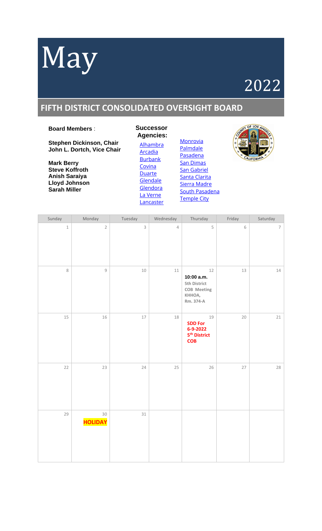# May

## 2022

### **FIFTH DISTRICT CONSOLIDATED OVERSIGHT BOARD**

### **Board Members** :

**Stephen Dickinson, Chair John L. Dortch, Vice Chair**

**Mark Berry Steve Koffroth Anish Saraiya Lloyd Johnson Sarah Miller**

**Successor Agencies:** [Alhambra](https://www.cityofalhambra.org/) [Arcadia](https://www.arcadiaca.gov/government/city-departments/development-services/successor-agency-to-the-arcadia-redevelopment-agency) [Burbank](http://www.burbankca.gov/departments/community-development/housing-economic-development/successor-agency/successor-agency-oversight-board-agendas) [Covina](https://covinaca.gov/) **[Duarte](http://www.accessduarte.com/about/default.htm) [Glendale](https://www.glendaleca.gov/government/departments/city-clerk/boards-and-commissions-/oversight-board-for-the-glendale-successor-agency) [Glendora](http://www.cityofglendora.org/departments-services/boards-commissions-and-committees/oversight-board-to-the-glendora-successor-agency)** [La Verne](http://www.ci.la-verne.ca.us/index.php/39-city-hall/41-la-verne-successor-agency-oversight-board) **[Lancaster](http://www.cityoflancasterca.org/about-us/city-government/redevelopment-agency)** 





| Sunday  | Monday                   | Tuesday                   | Wednesday  | Thursday                                                                          | Friday         | Saturday                 |
|---------|--------------------------|---------------------------|------------|-----------------------------------------------------------------------------------|----------------|--------------------------|
| $\,1$   | $\overline{2}$           | $\ensuremath{\mathsf{3}}$ | $\sqrt{4}$ | 5                                                                                 | $\,$ $\,$ $\,$ | $\overline{\mathcal{I}}$ |
| $\,8\,$ | $\mathcal G$             | $10\,$                    | $11\,$     | $12\,$<br>10:00 a.m.<br>5th District<br><b>COB</b> Meeting<br>KHHOA,<br>Rm. 374-A | 13             | $14\,$                   |
| 15      | 16                       | 17                        | $18\,$     | 19<br><b>SDD For</b><br>6-9-2022<br>5 <sup>th</sup> District<br><b>COB</b>        | 20             | 21                       |
| 22      | 23                       | 24                        | 25         | 26                                                                                | 27             | 28                       |
| 29      | $30\,$<br><b>HOLIDAY</b> | $31\,$                    |            |                                                                                   |                |                          |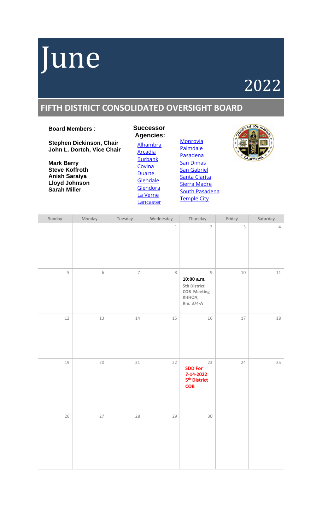## June

## 2022

### **FIFTH DISTRICT CONSOLIDATED OVERSIGHT BOARD**

### **Board Members** :

**Stephen Dickinson, Chair John L. Dortch, Vice Chair**

**Mark Berry Steve Koffroth Anish Saraiya Lloyd Johnson Sarah Miller**

**Successor Agencies:** [Alhambra](https://www.cityofalhambra.org/) [Arcadia](https://www.arcadiaca.gov/government/city-departments/development-services/successor-agency-to-the-arcadia-redevelopment-agency) [Burbank](http://www.burbankca.gov/departments/community-development/housing-economic-development/successor-agency/successor-agency-oversight-board-agendas) **[Covina](https://covinaca.gov/) [Duarte](http://www.accessduarte.com/about/default.htm) [Glendale](https://www.glendaleca.gov/government/departments/city-clerk/boards-and-commissions-/oversight-board-for-the-glendale-successor-agency) [Glendora](http://www.cityofglendora.org/departments-services/boards-commissions-and-committees/oversight-board-to-the-glendora-successor-agency)** [La Verne](http://www.ci.la-verne.ca.us/index.php/39-city-hall/41-la-verne-successor-agency-oversight-board) **[Lancaster](http://www.cityoflancasterca.org/about-us/city-government/redevelopment-agency)** 



| Sunday | Monday      | Tuesday                  | Wednesday | Thursday                                                                               | Friday      | Saturday       |
|--------|-------------|--------------------------|-----------|----------------------------------------------------------------------------------------|-------------|----------------|
|        |             |                          | $\,1$     | $\sqrt{2}$                                                                             | $\mathsf 3$ | $\overline{4}$ |
| 5      | $\,$ 6 $\,$ | $\overline{\phantom{a}}$ | $\,8\,$   | $\mathsf g$<br>10:00 a.m.<br>5th District<br><b>COB</b> Meeting<br>KHHOA,<br>Rm. 374-A | $10\,$      | $11\,$         |
| 12     | 13          | $14\,$                   | 15        | 16                                                                                     | $17\,$      | $18\,$         |
| 19     | 20          | $21\,$                   | 22        | 23<br><b>SDD For</b><br>7-14-2022<br>5 <sup>th</sup> District<br><b>COB</b>            | 24          | 25             |
| 26     | 27          | 28                       | 29        | $30\,$                                                                                 |             |                |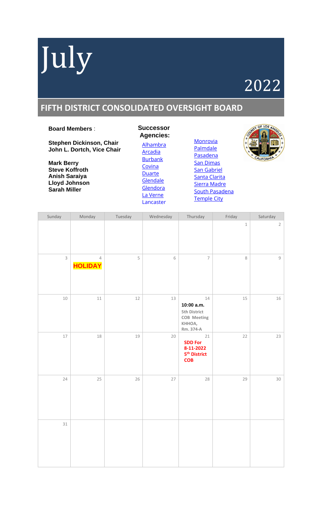# July

## 2022

### **FIFTH DISTRICT CONSOLIDATED OVERSIGHT BOARD**

### **Board Members** :

**Stephen Dickinson, Chair John L. Dortch, Vice Chair**

**Mark Berry Steve Koffroth Anish Saraiya Lloyd Johnson Sarah Miller**

**Successor Agencies:** [Alhambra](https://www.cityofalhambra.org/) [Arcadia](https://www.arcadiaca.gov/government/city-departments/development-services/successor-agency-to-the-arcadia-redevelopment-agency) [Burbank](http://www.burbankca.gov/departments/community-development/housing-economic-development/successor-agency/successor-agency-oversight-board-agendas) [Covina](https://covinaca.gov/) [Duarte](http://www.accessduarte.com/about/default.htm) **[Glendale](https://www.glendaleca.gov/government/departments/city-clerk/boards-and-commissions-/oversight-board-for-the-glendale-successor-agency) [Glendora](http://www.cityofglendora.org/departments-services/boards-commissions-and-committees/oversight-board-to-the-glendora-successor-agency)** [La Verne](http://www.ci.la-verne.ca.us/index.php/39-city-hall/41-la-verne-successor-agency-oversight-board) [Lancaster](http://www.cityoflancasterca.org/about-us/city-government/redevelopment-agency)



| Sunday      | Monday                           | Tuesday | Wednesday      | Thursday                                                                        | Friday  | Saturday       |
|-------------|----------------------------------|---------|----------------|---------------------------------------------------------------------------------|---------|----------------|
|             |                                  |         |                |                                                                                 | $\,1\,$ | $\overline{2}$ |
| $\mathsf 3$ | $\overline{4}$<br><b>HOLIDAY</b> | 5       | $\,$ $\,$ $\,$ | $\overline{7}$                                                                  | $\,8\,$ | $\mathcal G$   |
| $10\,$      | $11\,$                           | 12      | 13             | $14\,$<br>10:00 a.m.<br>5th District<br>COB Meeting<br>KHHOA,<br>Rm. 374-A      | 15      | 16             |
| $17\,$      | 18                               | 19      | $20\,$         | $21\,$<br><b>SDD For</b><br>8-11-2022<br>5 <sup>th</sup> District<br><b>COB</b> | 22      | 23             |
| 24          | 25                               | 26      | 27             | 28                                                                              | 29      | 30             |
| $31\,$      |                                  |         |                |                                                                                 |         |                |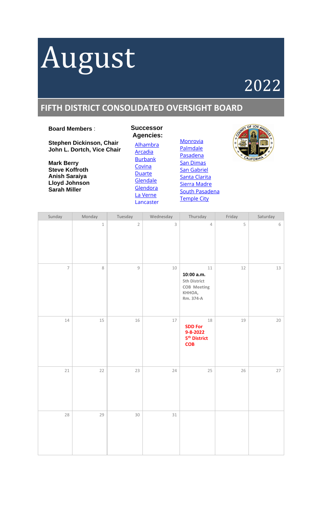# August

## 2022

### **FIFTH DISTRICT CONSOLIDATED OVERSIGHT BOARD**

### **Board Members** :

**Stephen Dickinson, Chair John L. Dortch, Vice Chair**

**Mark Berry Steve Koffroth Anish Saraiya Lloyd Johnson Sarah Miller**

**Successor Agencies:** [Alhambra](https://www.cityofalhambra.org/) [Arcadia](https://www.arcadiaca.gov/government/city-departments/development-services/successor-agency-to-the-arcadia-redevelopment-agency) [Burbank](http://www.burbankca.gov/departments/community-development/housing-economic-development/successor-agency/successor-agency-oversight-board-agendas) **[Covina](https://covinaca.gov/) [Duarte](http://www.accessduarte.com/about/default.htm) [Glendale](https://www.glendaleca.gov/government/departments/city-clerk/boards-and-commissions-/oversight-board-for-the-glendale-successor-agency) [Glendora](http://www.cityofglendora.org/departments-services/boards-commissions-and-committees/oversight-board-to-the-glendora-successor-agency)** [La Verne](http://www.ci.la-verne.ca.us/index.php/39-city-hall/41-la-verne-successor-agency-oversight-board) [Lancaster](http://www.cityoflancasterca.org/about-us/city-government/redevelopment-agency)



| Sunday         | Monday | Tuesday        | Wednesday      | Thursday                                                                       | Friday | Saturday |
|----------------|--------|----------------|----------------|--------------------------------------------------------------------------------|--------|----------|
|                | $\,1$  | $\overline{2}$ | $\overline{3}$ | $\overline{4}$                                                                 | 5      | 6        |
| $\overline{7}$ | 8      | $\mathcal G$   | 10             | $11\,$<br>10:00 a.m.<br>5th District<br>COB Meeting<br>KHHOA,<br>Rm. 374-A     | $12\,$ | 13       |
| $14\,$         | $15\,$ | 16             | 17             | $18\,$<br><b>SDD For</b><br>9-8-2022<br>5 <sup>th</sup> District<br><b>COB</b> | 19     | $20\,$   |
| $21\,$         | 22     | 23             | 24             | 25                                                                             | 26     | 27       |
| 28             | 29     | $30\,$         | $31\,$         |                                                                                |        |          |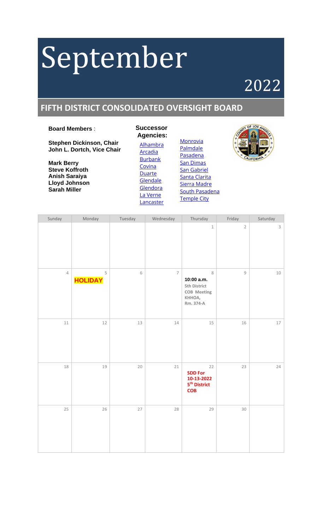# September

## 2022

### **FIFTH DISTRICT CONSOLIDATED OVERSIGHT BOARD**

### **Board Members** :

**Stephen Dickinson, Chair John L. Dortch, Vice Chair**

**Mark Berry Steve Koffroth Anish Saraiya Lloyd Johnson Sarah Miller**

**Successor Agencies:** [Alhambra](https://www.cityofalhambra.org/) [Arcadia](https://www.arcadiaca.gov/government/city-departments/development-services/successor-agency-to-the-arcadia-redevelopment-agency) [Burbank](http://www.burbankca.gov/departments/community-development/housing-economic-development/successor-agency/successor-agency-oversight-board-agendas) [Covina](https://covinaca.gov/) [Duarte](http://www.accessduarte.com/about/default.htm) **[Glendale](https://www.glendaleca.gov/government/departments/city-clerk/boards-and-commissions-/oversight-board-for-the-glendale-successor-agency)** [Glendora](http://www.cityofglendora.org/departments-services/boards-commissions-and-committees/oversight-board-to-the-glendora-successor-agency) [La Verne](http://www.ci.la-verne.ca.us/index.php/39-city-hall/41-la-verne-successor-agency-oversight-board) **[Lancaster](http://www.cityoflancasterca.org/about-us/city-government/redevelopment-agency)** 





| Sunday     | Monday                        | Tuesday | Wednesday      | Thursday                                                                           | Friday       | Saturday    |
|------------|-------------------------------|---------|----------------|------------------------------------------------------------------------------------|--------------|-------------|
|            |                               |         |                | $\,1\,$                                                                            | $\sqrt{2}$   | $\mathsf S$ |
| $\sqrt{4}$ | $\mathsf S$<br><b>HOLIDAY</b> | 6       | $\overline{7}$ | $\,8\,$<br>10:00 a.m.<br>5th District<br><b>COB</b> Meeting<br>KHHOA,<br>Rm. 374-A | $\mathcal G$ | 10          |
| $11\,$     | $12\,$                        | 13      | $14\,$         | 15                                                                                 | 16           | $17\,$      |
| 18         | 19                            | 20      | $21\,$         | 22<br><b>SDD For</b><br>10-13-2022<br>5 <sup>th</sup> District<br><b>COB</b>       | 23           | 24          |
| 25         | 26                            | $27\,$  | 28             | 29                                                                                 | 30           |             |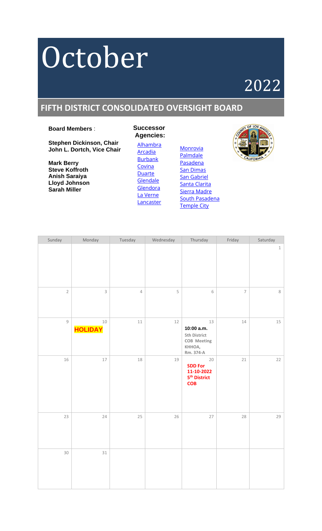# October

## 2022

### **FIFTH DISTRICT CONSOLIDATED OVERSIGHT BOARD**

### **Board Members** :

**Stephen Dickinson, Chair John L. Dortch, Vice Chair**

**Mark Berry Steve Koffroth Anish Saraiya Lloyd Johnson Sarah Miller**

**Agencies:** [Alhambra](https://www.cityofalhambra.org/) [Arcadia](https://www.arcadiaca.gov/government/city-departments/development-services/successor-agency-to-the-arcadia-redevelopment-agency) [Burbank](http://www.burbankca.gov/departments/community-development/housing-economic-development/successor-agency/successor-agency-oversight-board-agendas) [Covina](https://covinaca.gov/) [Duarte](http://www.accessduarte.com/about/default.htm) **[Glendale](https://www.glendaleca.gov/government/departments/city-clerk/boards-and-commissions-/oversight-board-for-the-glendale-successor-agency)** [Glendora](http://www.cityofglendora.org/departments-services/boards-commissions-and-committees/oversight-board-to-the-glendora-successor-agency) [La Verne](http://www.ci.la-verne.ca.us/index.php/39-city-hall/41-la-verne-successor-agency-oversight-board) **[Lancaster](http://www.cityoflancasterca.org/about-us/city-government/redevelopment-agency)** 

**Successor**



| Sunday         | Monday                   | Tuesday    | Wednesday | Thursday                                                                         | Friday         | Saturday      |
|----------------|--------------------------|------------|-----------|----------------------------------------------------------------------------------|----------------|---------------|
|                |                          |            |           |                                                                                  |                | $\mathbbm{1}$ |
| $\overline{2}$ | $\mathsf{3}$             | $\sqrt{4}$ | 5         | 6                                                                                | $\overline{7}$ | $\,8\,$       |
| $\mathsf g$    | $10\,$<br><b>HOLIDAY</b> | $11\,$     | 12        | 13<br>10:00 a.m.<br>5th District<br><b>COB</b> Meeting<br>KHHOA,<br>Rm. 374-A    | $14\,$         | $15\,$        |
| 16             | $17\,$                   | 18         | 19        | $20\,$<br><b>SDD For</b><br>11-10-2022<br>5 <sup>th</sup> District<br><b>COB</b> | 21             | 22            |
| 23             | 24                       | 25         | $26\,$    | $27\,$                                                                           | 28             | 29            |
| $30\,$         | $31\,$                   |            |           |                                                                                  |                |               |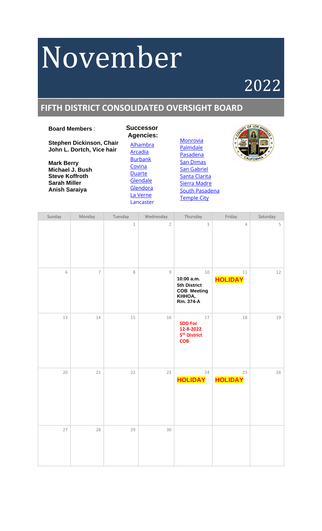# November

## 2022

### **FIFTH DISTRICT CONSOLIDATED OVERSIGHT BOARD**

### **Board Members** :

**Stephen Dickinson, Chair John L. Dortch, Vice hair**

**Mark Berry Michael J. Bush Steve Koffroth Sarah Miller Anish Saraiya**

**Successor Agencies:** [Alhambra](https://www.cityofalhambra.org/) [Arcadia](https://www.arcadiaca.gov/government/city-departments/development-services/successor-agency-to-the-arcadia-redevelopment-agency) [Burbank](http://www.burbankca.gov/departments/community-development/housing-economic-development/successor-agency/successor-agency-oversight-board-agendas) [Covina](https://covinaca.gov/) [Duarte](http://www.accessduarte.com/about/default.htm) [Glendale](https://www.glendaleca.gov/government/departments/city-clerk/boards-and-commissions-/oversight-board-for-the-glendale-successor-agency) **[Glendora](http://www.cityofglendora.org/departments-services/boards-commissions-and-committees/oversight-board-to-the-glendora-successor-agency)** [La Verne](http://www.ci.la-verne.ca.us/index.php/39-city-hall/41-la-verne-successor-agency-oversight-board) [Lancaster](http://www.cityoflancasterca.org/about-us/city-government/redevelopment-agency)



| Sunday | Monday                   | Tuesday       | Wednesday      | Thursday                                                                          | Friday                   | Saturday |
|--------|--------------------------|---------------|----------------|-----------------------------------------------------------------------------------|--------------------------|----------|
|        |                          | $\mathbbm{1}$ | $\overline{2}$ | 3                                                                                 | $\sqrt{4}$               | 5        |
| 6      | $\overline{\phantom{a}}$ | 8             | $\mathsf g$    | $10\,$<br>10:00 a.m.<br>5th District<br><b>COB Meeting</b><br>KHHOA,<br>Rm. 374-A | $11\,$<br><b>HOLIDAY</b> | $12\,$   |
| 13     | 14                       | 15            | 16             | 17<br><b>SDD For</b><br>12-8-2022<br>5 <sup>th</sup> District<br><b>COB</b>       | 18                       | 19       |
| 20     | $21\,$                   | 22            | 23             | 24<br><b>HOLIDAY</b>                                                              | 25<br><b>HOLIDAY</b>     | 26       |
| 27     | 28                       | 29            | $30\,$         |                                                                                   |                          |          |